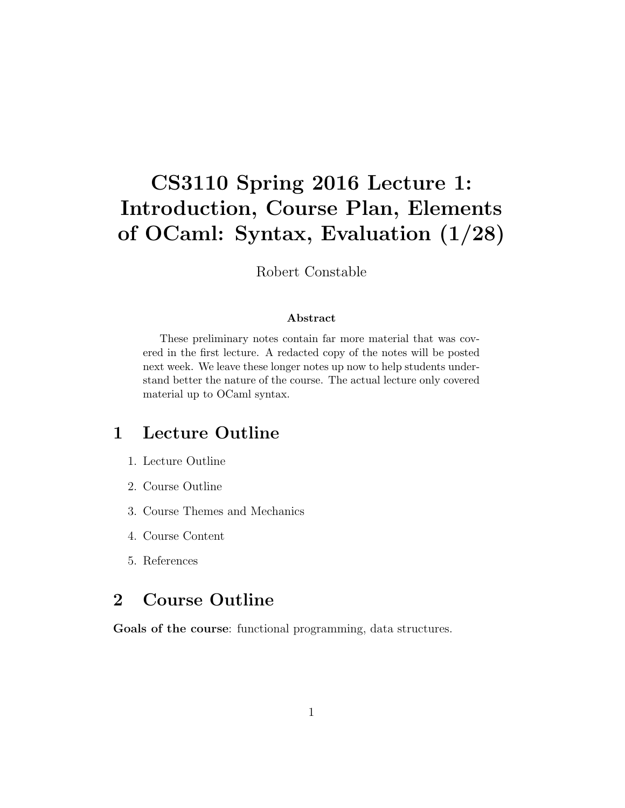# CS3110 Spring 2016 Lecture 1: Introduction, Course Plan, Elements of OCaml: Syntax, Evaluation (1/28)

Robert Constable

#### Abstract

These preliminary notes contain far more material that was covered in the first lecture. A redacted copy of the notes will be posted next week. We leave these longer notes up now to help students understand better the nature of the course. The actual lecture only covered material up to OCaml syntax.

## 1 Lecture Outline

- 1. Lecture Outline
- 2. Course Outline
- 3. Course Themes and Mechanics
- 4. Course Content
- 5. References

# 2 Course Outline

Goals of the course: functional programming, data structures.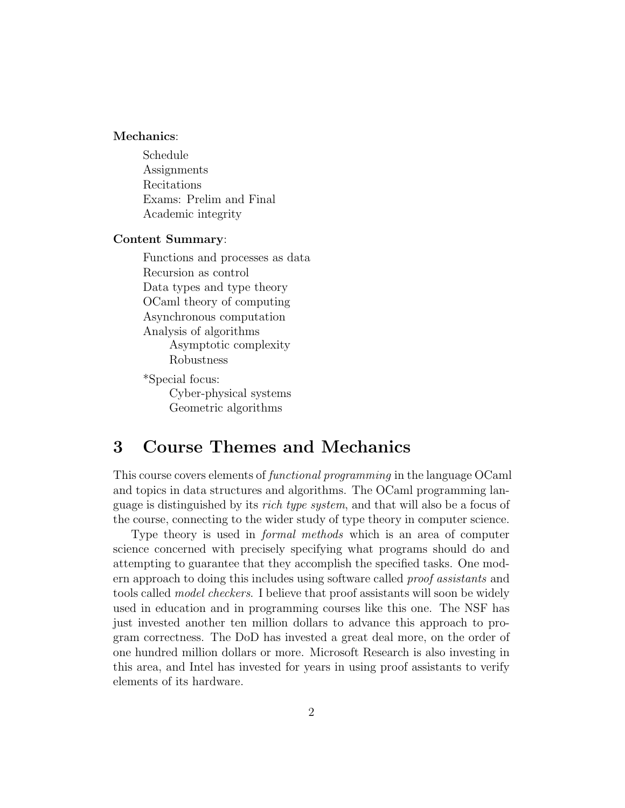#### Mechanics:

Schedule Assignments Recitations Exams: Prelim and Final Academic integrity

#### Content Summary:

Functions and processes as data Recursion as control Data types and type theory OCaml theory of computing Asynchronous computation Analysis of algorithms Asymptotic complexity Robustness

\*Special focus: Cyber-physical systems Geometric algorithms

# 3 Course Themes and Mechanics

This course covers elements of functional programming in the language OCaml and topics in data structures and algorithms. The OCaml programming language is distinguished by its rich type system, and that will also be a focus of the course, connecting to the wider study of type theory in computer science.

Type theory is used in *formal methods* which is an area of computer science concerned with precisely specifying what programs should do and attempting to guarantee that they accomplish the specified tasks. One modern approach to doing this includes using software called proof assistants and tools called model checkers. I believe that proof assistants will soon be widely used in education and in programming courses like this one. The NSF has just invested another ten million dollars to advance this approach to program correctness. The DoD has invested a great deal more, on the order of one hundred million dollars or more. Microsoft Research is also investing in this area, and Intel has invested for years in using proof assistants to verify elements of its hardware.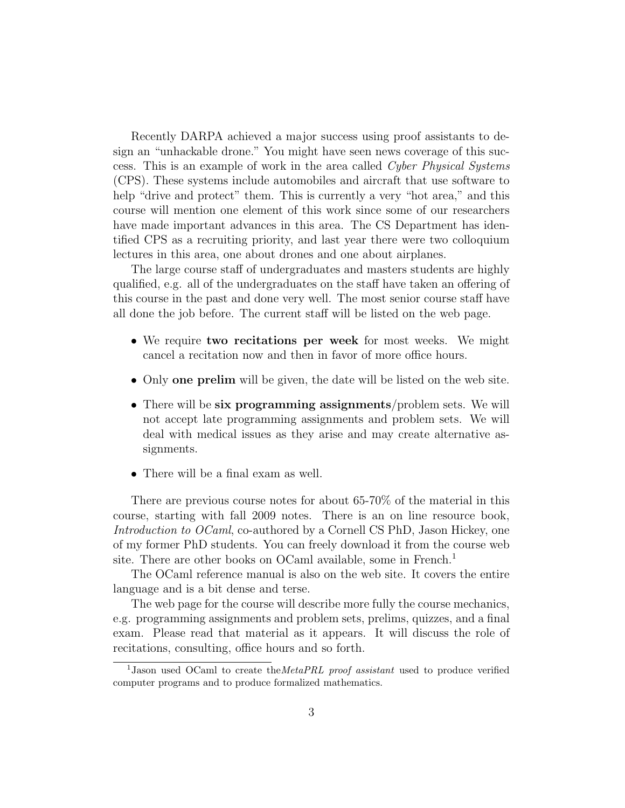Recently DARPA achieved a major success using proof assistants to design an "unhackable drone." You might have seen news coverage of this success. This is an example of work in the area called Cyber Physical Systems (CPS). These systems include automobiles and aircraft that use software to help "drive and protect" them. This is currently a very "hot area," and this course will mention one element of this work since some of our researchers have made important advances in this area. The CS Department has identified CPS as a recruiting priority, and last year there were two colloquium lectures in this area, one about drones and one about airplanes.

The large course staff of undergraduates and masters students are highly qualified, e.g. all of the undergraduates on the staff have taken an offering of this course in the past and done very well. The most senior course staff have all done the job before. The current staff will be listed on the web page.

- We require two recitations per week for most weeks. We might cancel a recitation now and then in favor of more office hours.
- Only one prelim will be given, the date will be listed on the web site.
- There will be six programming assignments/problem sets. We will not accept late programming assignments and problem sets. We will deal with medical issues as they arise and may create alternative assignments.
- There will be a final exam as well.

There are previous course notes for about 65-70% of the material in this course, starting with fall 2009 notes. There is an on line resource book, Introduction to OCaml, co-authored by a Cornell CS PhD, Jason Hickey, one of my former PhD students. You can freely download it from the course web site. There are other books on OCaml available, some in French.<sup>1</sup>

The OCaml reference manual is also on the web site. It covers the entire language and is a bit dense and terse.

The web page for the course will describe more fully the course mechanics, e.g. programming assignments and problem sets, prelims, quizzes, and a final exam. Please read that material as it appears. It will discuss the role of recitations, consulting, office hours and so forth.

<sup>&</sup>lt;sup>1</sup>Jason used OCaml to create the MetaPRL proof assistant used to produce verified computer programs and to produce formalized mathematics.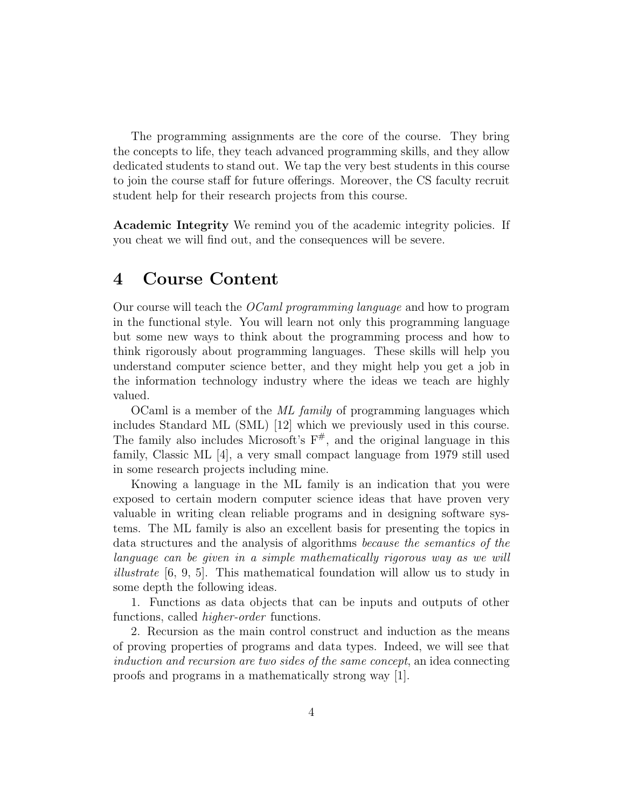The programming assignments are the core of the course. They bring the concepts to life, they teach advanced programming skills, and they allow dedicated students to stand out. We tap the very best students in this course to join the course staff for future offerings. Moreover, the CS faculty recruit student help for their research projects from this course.

Academic Integrity We remind you of the academic integrity policies. If you cheat we will find out, and the consequences will be severe.

### 4 Course Content

Our course will teach the OCaml programming language and how to program in the functional style. You will learn not only this programming language but some new ways to think about the programming process and how to think rigorously about programming languages. These skills will help you understand computer science better, and they might help you get a job in the information technology industry where the ideas we teach are highly valued.

OCaml is a member of the ML family of programming languages which includes Standard ML (SML) [12] which we previously used in this course. The family also includes Microsoft's  $F^{\#}$ , and the original language in this family, Classic ML [4], a very small compact language from 1979 still used in some research projects including mine.

Knowing a language in the ML family is an indication that you were exposed to certain modern computer science ideas that have proven very valuable in writing clean reliable programs and in designing software systems. The ML family is also an excellent basis for presenting the topics in data structures and the analysis of algorithms because the semantics of the language can be given in a simple mathematically rigorous way as we will illustrate [6, 9, 5]. This mathematical foundation will allow us to study in some depth the following ideas.

1. Functions as data objects that can be inputs and outputs of other functions, called higher-order functions.

2. Recursion as the main control construct and induction as the means of proving properties of programs and data types. Indeed, we will see that induction and recursion are two sides of the same concept, an idea connecting proofs and programs in a mathematically strong way [1].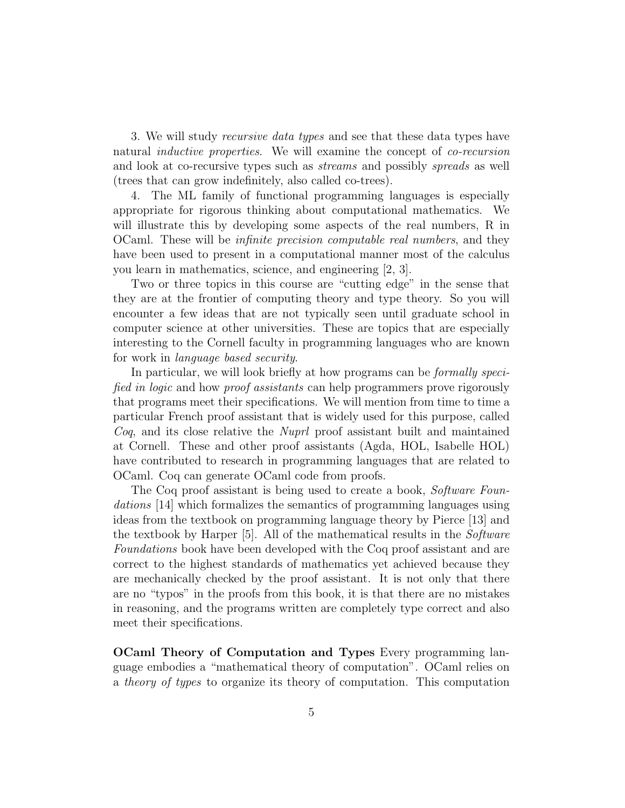3. We will study *recursive data types* and see that these data types have natural *inductive properties*. We will examine the concept of *co-recursion* and look at co-recursive types such as streams and possibly spreads as well (trees that can grow indefinitely, also called co-trees).

4. The ML family of functional programming languages is especially appropriate for rigorous thinking about computational mathematics. We will illustrate this by developing some aspects of the real numbers, R in OCaml. These will be infinite precision computable real numbers, and they have been used to present in a computational manner most of the calculus you learn in mathematics, science, and engineering [2, 3].

Two or three topics in this course are "cutting edge" in the sense that they are at the frontier of computing theory and type theory. So you will encounter a few ideas that are not typically seen until graduate school in computer science at other universities. These are topics that are especially interesting to the Cornell faculty in programming languages who are known for work in language based security.

In particular, we will look briefly at how programs can be *formally speci*fied in logic and how proof assistants can help programmers prove rigorously that programs meet their specifications. We will mention from time to time a particular French proof assistant that is widely used for this purpose, called Coq, and its close relative the Nuprl proof assistant built and maintained at Cornell. These and other proof assistants (Agda, HOL, Isabelle HOL) have contributed to research in programming languages that are related to OCaml. Coq can generate OCaml code from proofs.

The Coq proof assistant is being used to create a book, Software Foundations [14] which formalizes the semantics of programming languages using ideas from the textbook on programming language theory by Pierce [13] and the textbook by Harper [5]. All of the mathematical results in the Software Foundations book have been developed with the Coq proof assistant and are correct to the highest standards of mathematics yet achieved because they are mechanically checked by the proof assistant. It is not only that there are no "typos" in the proofs from this book, it is that there are no mistakes in reasoning, and the programs written are completely type correct and also meet their specifications.

OCaml Theory of Computation and Types Every programming language embodies a "mathematical theory of computation". OCaml relies on a theory of types to organize its theory of computation. This computation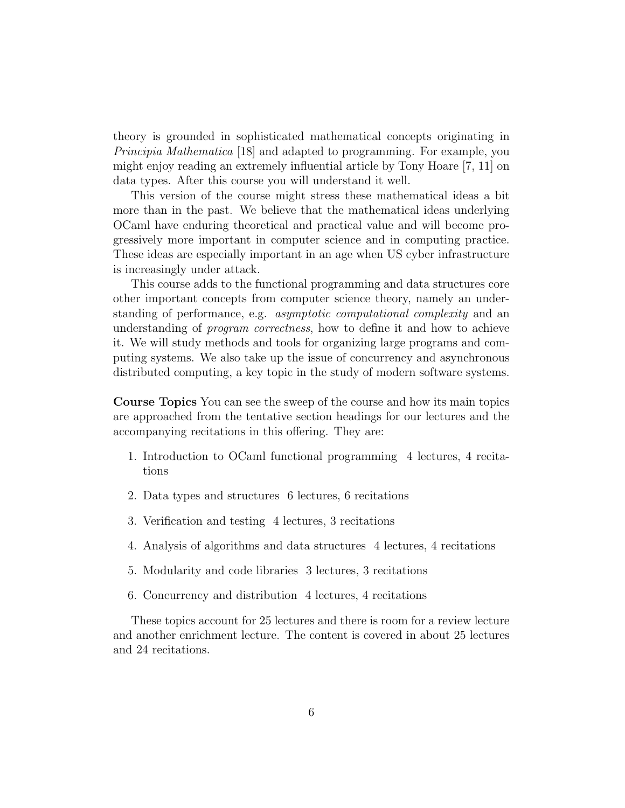theory is grounded in sophisticated mathematical concepts originating in Principia Mathematica [18] and adapted to programming. For example, you might enjoy reading an extremely influential article by Tony Hoare [7, 11] on data types. After this course you will understand it well.

This version of the course might stress these mathematical ideas a bit more than in the past. We believe that the mathematical ideas underlying OCaml have enduring theoretical and practical value and will become progressively more important in computer science and in computing practice. These ideas are especially important in an age when US cyber infrastructure is increasingly under attack.

This course adds to the functional programming and data structures core other important concepts from computer science theory, namely an understanding of performance, e.g. asymptotic computational complexity and an understanding of *program correctness*, how to define it and how to achieve it. We will study methods and tools for organizing large programs and computing systems. We also take up the issue of concurrency and asynchronous distributed computing, a key topic in the study of modern software systems.

Course Topics You can see the sweep of the course and how its main topics are approached from the tentative section headings for our lectures and the accompanying recitations in this offering. They are:

- 1. Introduction to OCaml functional programming 4 lectures, 4 recitations
- 2. Data types and structures 6 lectures, 6 recitations
- 3. Verification and testing 4 lectures, 3 recitations
- 4. Analysis of algorithms and data structures 4 lectures, 4 recitations
- 5. Modularity and code libraries 3 lectures, 3 recitations
- 6. Concurrency and distribution 4 lectures, 4 recitations

These topics account for 25 lectures and there is room for a review lecture and another enrichment lecture. The content is covered in about 25 lectures and 24 recitations.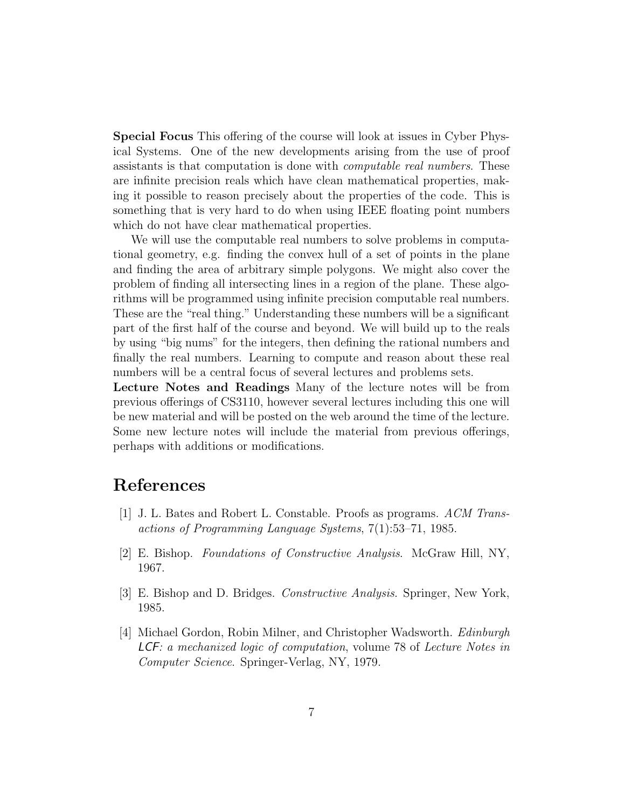Special Focus This offering of the course will look at issues in Cyber Physical Systems. One of the new developments arising from the use of proof assistants is that computation is done with computable real numbers. These are infinite precision reals which have clean mathematical properties, making it possible to reason precisely about the properties of the code. This is something that is very hard to do when using IEEE floating point numbers which do not have clear mathematical properties.

We will use the computable real numbers to solve problems in computational geometry, e.g. finding the convex hull of a set of points in the plane and finding the area of arbitrary simple polygons. We might also cover the problem of finding all intersecting lines in a region of the plane. These algorithms will be programmed using infinite precision computable real numbers. These are the "real thing." Understanding these numbers will be a significant part of the first half of the course and beyond. We will build up to the reals by using "big nums" for the integers, then defining the rational numbers and finally the real numbers. Learning to compute and reason about these real numbers will be a central focus of several lectures and problems sets.

Lecture Notes and Readings Many of the lecture notes will be from previous offerings of CS3110, however several lectures including this one will be new material and will be posted on the web around the time of the lecture. Some new lecture notes will include the material from previous offerings, perhaps with additions or modifications.

# References

- [1] J. L. Bates and Robert L. Constable. Proofs as programs. ACM Transactions of Programming Language Systems, 7(1):53–71, 1985.
- [2] E. Bishop. Foundations of Constructive Analysis. McGraw Hill, NY, 1967.
- [3] E. Bishop and D. Bridges. Constructive Analysis. Springer, New York, 1985.
- [4] Michael Gordon, Robin Milner, and Christopher Wadsworth. Edinburgh LCF: a mechanized logic of computation, volume 78 of Lecture Notes in Computer Science. Springer-Verlag, NY, 1979.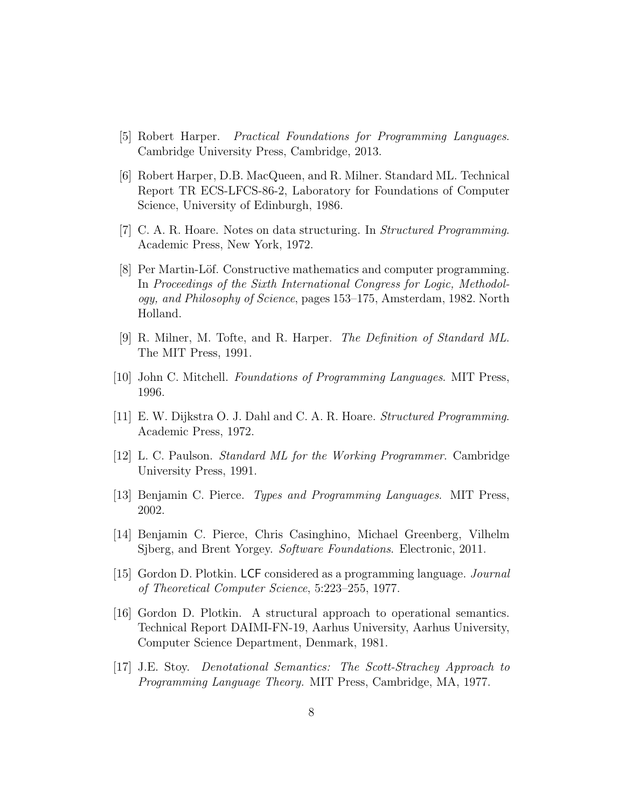- [5] Robert Harper. Practical Foundations for Programming Languages. Cambridge University Press, Cambridge, 2013.
- [6] Robert Harper, D.B. MacQueen, and R. Milner. Standard ML. Technical Report TR ECS-LFCS-86-2, Laboratory for Foundations of Computer Science, University of Edinburgh, 1986.
- [7] C. A. R. Hoare. Notes on data structuring. In Structured Programming. Academic Press, New York, 1972.
- [8] Per Martin-Löf. Constructive mathematics and computer programming. In Proceedings of the Sixth International Congress for Logic, Methodology, and Philosophy of Science, pages 153–175, Amsterdam, 1982. North Holland.
- [9] R. Milner, M. Tofte, and R. Harper. The Definition of Standard ML. The MIT Press, 1991.
- [10] John C. Mitchell. Foundations of Programming Languages. MIT Press, 1996.
- [11] E. W. Dijkstra O. J. Dahl and C. A. R. Hoare. Structured Programming. Academic Press, 1972.
- [12] L. C. Paulson. Standard ML for the Working Programmer. Cambridge University Press, 1991.
- [13] Benjamin C. Pierce. Types and Programming Languages. MIT Press, 2002.
- [14] Benjamin C. Pierce, Chris Casinghino, Michael Greenberg, Vilhelm Sjberg, and Brent Yorgey. Software Foundations. Electronic, 2011.
- [15] Gordon D. Plotkin. LCF considered as a programming language. Journal of Theoretical Computer Science, 5:223–255, 1977.
- [16] Gordon D. Plotkin. A structural approach to operational semantics. Technical Report DAIMI-FN-19, Aarhus University, Aarhus University, Computer Science Department, Denmark, 1981.
- [17] J.E. Stoy. Denotational Semantics: The Scott-Strachey Approach to Programming Language Theory. MIT Press, Cambridge, MA, 1977.